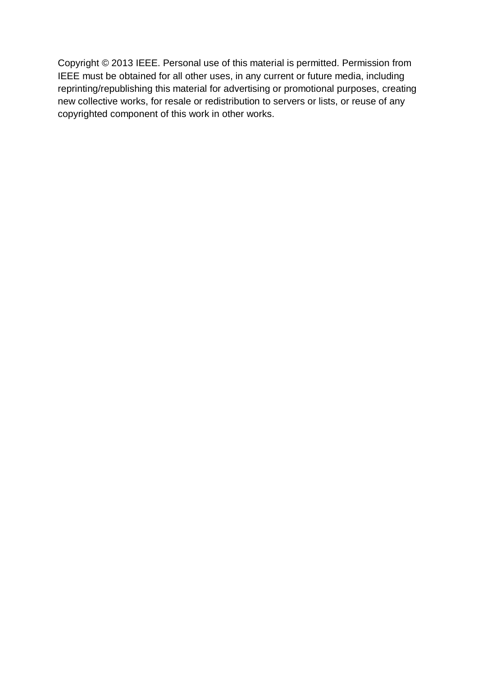Copyright © 2013 IEEE. Personal use of this material is permitted. Permission from IEEE must be obtained for all other uses, in any current or future media, including reprinting/republishing this material for advertising or promotional purposes, creating new collective works, for resale or redistribution to servers or lists, or reuse of any copyrighted component of this work in other works.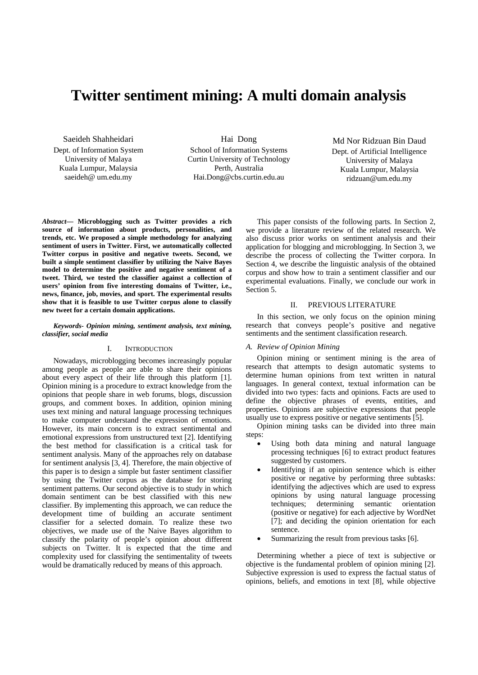# **Twitter sentiment mining: A multi domain analysis**

Saeideh Shahheidari Dept. of Information System University of Malaya Kuala Lumpur, Malaysia saeideh@ um.edu.my

Hai Dong School of Information Systems Curtin University of Technology Perth, Australia Hai.Dong@cbs.curtin.edu.au

Md Nor Ridzuan Bin Daud Dept. of Artificial Intelligence University of Malaya Kuala Lumpur, Malaysia ridzuan@um.edu.my

*Abstract***— Microblogging such as Twitter provides a rich source of information about products, personalities, and trends, etc. We proposed a simple methodology for analyzing sentiment of users in Twitter. First, we automatically collected Twitter corpus in positive and negative tweets. Second, we built a simple sentiment classifier by utilizing the Naive Bayes model to determine the positive and negative sentiment of a**  tweet. Third, we tested the classifier against a collection of **users' opinion from five interesting domains of Twitter, i.e., news, finance, job, movies, and sport. The experimental results show that it is feasible to use Twitter corpus alone to classify new tweet for a certain domain applications.** 

#### *Keywords- Opinion mining, sentiment analysis, text mining, classifier, social media*

## I. INTRODUCTION

Nowadays, microblogging becomes increasingly popular among people as people are able to share their opinions about every aspect of their life through this platform [1]. Opinion mining is a procedure to extract knowledge from the opinions that people share in web forums, blogs, discussion groups, and comment boxes. In addition, opinion mining uses text mining and natural language processing techniques to make computer understand the expression of emotions. However, its main concern is to extract sentimental and emotional expressions from unstructured text [2]. Identifying the best method for classification is a critical task for sentiment analysis. Many of the approaches rely on database for sentiment analysis [3, 4]. Therefore, the main objective of this paper is to design a simple but faster sentiment classifier by using the Twitter corpus as the database for storing sentiment patterns. Our second objective is to study in which domain sentiment can be best classified with this new classifier. By implementing this approach, we can reduce the development time of building an accurate sentiment classifier for a selected domain. To realize these two objectives, we made use of the Naive Bayes algorithm to classify the polarity of people's opinion about different subjects on Twitter. It is expected that the time and complexity used for classifying the sentimentality of tweets would be dramatically reduced by means of this approach.

This paper consists of the following parts. In Section 2, we provide a literature review of the related research. We also discuss prior works on sentiment analysis and their application for blogging and microblogging. In Section 3, we describe the process of collecting the Twitter corpora. In Section 4, we describe the linguistic analysis of the obtained corpus and show how to train a sentiment classifier and our experimental evaluations. Finally, we conclude our work in Section 5.

# II. PREVIOUS LITERATURE

In this section, we only focus on the opinion mining research that conveys people's positive and negative sentiments and the sentiment classification research.

# *A. Review of Opinion Mining*

Opinion mining or sentiment mining is the area of research that attempts to design automatic systems to determine human opinions from text written in natural languages. In general context, textual information can be divided into two types: facts and opinions. Facts are used to define the objective phrases of events, entities, and properties. Opinions are subjective expressions that people usually use to express positive or negative sentiments [5].

Opinion mining tasks can be divided into three main steps:

- Using both data mining and natural language processing techniques [6] to extract product features suggested by customers.
- Identifying if an opinion sentence which is either positive or negative by performing three subtasks: identifying the adjectives which are used to express opinions by using natural language processing techniques; determining semantic orientation (positive or negative) for each adjective by WordNet [7]; and deciding the opinion orientation for each sentence.
- Summarizing the result from previous tasks [6].

Determining whether a piece of text is subjective or objective is the fundamental problem of opinion mining [2]. Subjective expression is used to express the factual status of opinions, beliefs, and emotions in text [8], while objective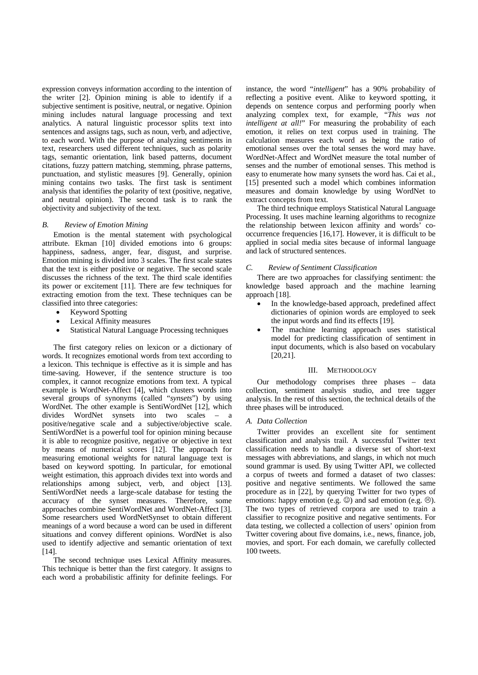expression conveys information according to the intention of the writer [2]. Opinion mining is able to identify if a subjective sentiment is positive, neutral, or negative. Opinion mining includes natural language processing and text analytics. A natural linguistic processor splits text into sentences and assigns tags, such as noun, verb, and adjective, to each word. With the purpose of analyzing sentiments in text, researchers used different techniques, such as polarity tags, semantic orientation, link based patterns, document citations, fuzzy pattern matching, stemming, phrase patterns, punctuation, and stylistic measures [9]. Generally, opinion mining contains two tasks. The first task is sentiment analysis that identifies the polarity of text (positive, negative, and neutral opinion). The second task is to rank the objectivity and subjectivity of the text.

## *B. Review of Emotion Mining*

Emotion is the mental statement with psychological attribute. Ekman [10] divided emotions into 6 groups: happiness, sadness, anger, fear, disgust, and surprise. Emotion mining is divided into 3 scales. The first scale states that the text is either positive or negative. The second scale discusses the richness of the text. The third scale identifies its power or excitement [11]. There are few techniques for extracting emotion from the text. These techniques can be classified into three categories:

- Keyword Spotting
- Lexical Affinity measures
- Statistical Natural Language Processing techniques

The first category relies on lexicon or a dictionary of words. It recognizes emotional words from text according to a lexicon. This technique is effective as it is simple and has time-saving. However, if the sentence structure is too complex, it cannot recognize emotions from text. A typical example is WordNet-Affect [4], which clusters words into several groups of synonyms (called "*synsets*") by using WordNet. The other example is SentiWordNet [12], which divides WordNet synsets into two scales – a positive/negative scale and a subjective/objective scale. SentiWordNet is a powerful tool for opinion mining because it is able to recognize positive, negative or objective in text by means of numerical scores [12]. The approach for measuring emotional weights for natural language text is based on keyword spotting. In particular, for emotional weight estimation, this approach divides text into words and relationships among subject, verb, and object [13]. SentiWordNet needs a large-scale database for testing the accuracy of the synset measures. Therefore, some approaches combine SentiWordNet and WordNet-Affect [3]. Some researchers used WordNetSynset to obtain different meanings of a word because a word can be used in different situations and convey different opinions. WordNet is also used to identify adjective and semantic orientation of text [14].

The second technique uses Lexical Affinity measures. This technique is better than the first category. It assigns to each word a probabilistic affinity for definite feelings. For instance, the word "*intelligent*" has a 90% probability of reflecting a positive event. Alike to keyword spotting, it depends on sentence corpus and performing poorly when analyzing complex text, for example, "*This was not intelligent at all!*" For measuring the probability of each emotion, it relies on text corpus used in training. The calculation measures each word as being the ratio of emotional senses over the total senses the word may have. WordNet-Affect and WordNet measure the total number of senses and the number of emotional senses. This method is easy to enumerate how many synsets the word has. Cai et al., [15] presented such a model which combines information measures and domain knowledge by using WordNet to extract concepts from text.

The third technique employs Statistical Natural Language Processing. It uses machine learning algorithms to recognize the relationship between lexicon affinity and words' cooccurrence frequencies [16,17]. However, it is difficult to be applied in social media sites because of informal language and lack of structured sentences.

# *C. Review of Sentiment Classification*

There are two approaches for classifying sentiment: the knowledge based approach and the machine learning approach [18].

- In the knowledge-based approach, predefined affect dictionaries of opinion words are employed to seek the input words and find its effects [19].
- The machine learning approach uses statistical model for predicting classification of sentiment in input documents, which is also based on vocabulary  $[20,21]$ .

## III. METHODOLOGY

Our methodology comprises three phases – data collection, sentiment analysis studio, and tree tagger analysis. In the rest of this section, the technical details of the three phases will be introduced.

## *A. Data Collection*

Twitter provides an excellent site for sentiment classification and analysis trail. A successful Twitter text classification needs to handle a diverse set of short-text messages with abbreviations, and slangs, in which not much sound grammar is used. By using Twitter API, we collected a corpus of tweets and formed a dataset of two classes: positive and negative sentiments. We followed the same procedure as in [22], by querying Twitter for two types of emotions: happy emotion  $(e.g. \odot)$  and sad emotion  $(e.g. \odot)$ . The two types of retrieved corpora are used to train a classifier to recognize positive and negative sentiments. For data testing, we collected a collection of users' opinion from Twitter covering about five domains, i.e., news, finance, job, movies, and sport. For each domain, we carefully collected 100 tweets.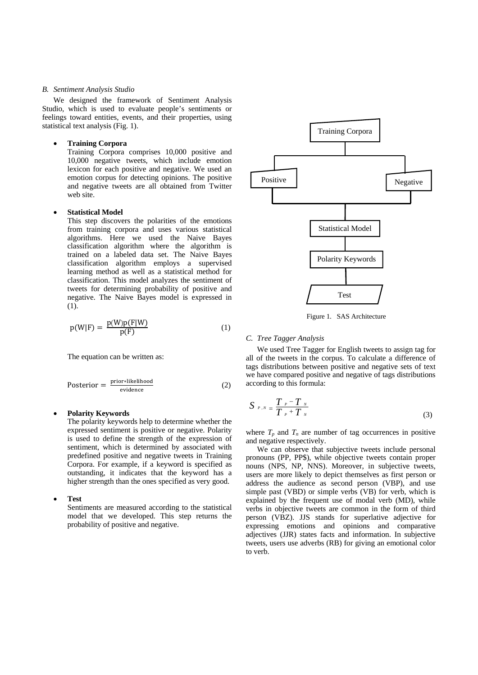#### *B. Sentiment Analysis Studio*

We designed the framework of Sentiment Analysis Studio, which is used to evaluate people's sentiments or feelings toward entities, events, and their properties, using statistical text analysis (Fig. 1).

# **Training Corpora**

Training Corpora comprises 10,000 positive and 10,000 negative tweets, which include emotion lexicon for each positive and negative. We used an emotion corpus for detecting opinions. The positive and negative tweets are all obtained from Twitter web site.

# **Statistical Model**

This step discovers the polarities of the emotions from training corpora and uses various statistical algorithms. Here we used the Naive Bayes classification algorithm where the algorithm is trained on a labeled data set. The Naive Bayes classification algorithm employs a supervised learning method as well as a statistical method for classification. This model analyzes the sentiment of tweets for determining probability of positive and negative. The Naive Bayes model is expressed in (1).

$$
p(W|F) = \frac{p(W)p(F|W)}{p(F)}
$$
\n(1)

The equation can be written as:

$$
Posterior = \frac{prior*likelihood}{evidence}
$$
 (2)

#### **Polarity Keywords**

The polarity keywords help to determine whether the expressed sentiment is positive or negative. Polarity is used to define the strength of the expression of sentiment, which is determined by associated with predefined positive and negative tweets in Training Corpora. For example, if a keyword is specified as outstanding, it indicates that the keyword has a higher strength than the ones specified as very good.

## **Test**

Sentiments are measured according to the statistical model that we developed. This step returns the probability of positive and negative.



Figure 1. SAS Architecture

# *C. Tree Tagger Analysis*

We used Tree Tagger for English tweets to assign tag for all of the tweets in the corpus. To calculate a difference of tags distributions between positive and negative sets of text we have compared positive and negative of tags distributions according to this formula:

$$
S_{P,N} = \frac{T_P - T_N}{T_P + T_N}
$$
 (3)

where  $T_p$  and  $T_n$  are number of tag occurrences in positive and negative respectively.

We can observe that subjective tweets include personal pronouns (PP, PP\$), while objective tweets contain proper nouns (NPS, NP, NNS). Moreover, in subjective tweets, users are more likely to depict themselves as first person or address the audience as second person (VBP), and use simple past (VBD) or simple verbs (VB) for verb, which is explained by the frequent use of modal verb (MD), while verbs in objective tweets are common in the form of third person (VBZ). JJS stands for superlative adjective for expressing emotions and opinions and comparative adjectives (JJR) states facts and information. In subjective tweets, users use adverbs (RB) for giving an emotional color to verb.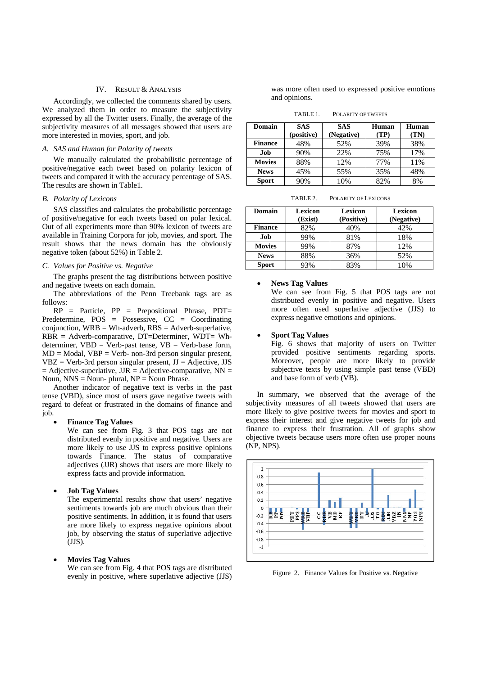# IV. RESULT & ANALYSIS

Accordingly, we collected the comments shared by users. We analyzed them in order to measure the subjectivity expressed by all the Twitter users. Finally, the average of the subjectivity measures of all messages showed that users are more interested in movies, sport, and job.

# *A. SAS and Human for Polarity of tweets*

We manually calculated the probabilistic percentage of positive/negative each tweet based on polarity lexicon of tweets and compared it with the accuracy percentage of SAS. The results are shown in Table 1.

# *B. Polarity of Lexicons*

SAS classifies and calculates the probabilistic percentage of positive/negative for each tweets based on polar lexical. Out of all experiments more than 90% lexicon of tweets are available in Training Corpora for job, movies, and sport. The result shows that the news domain has the obviously negative token (about 52%) in Table 2.

# *C. Values for Positive vs. Negative*

The graphs present the tag distributions between positive and negative tweets on each domain.

The abbreviations of the Penn Treebank tags are as follows:

RP = Particle, PP = Prepositional Phrase, PDT= Predetermine, POS = Possessive, CC = Coordinating conjunction, WRB = Wh-adverb, RBS = Adverb-superlative, RBR = Adverb-comparative, DT=Determiner, WDT= Whdeterminer,  $VBD = Verb-past$  tense,  $VB = Verb-base$  form,  $MD = Modal$ ,  $VBP = Verb-$  non-3rd person singular present,  $VBZ = Verb-3rd$  person singular present,  $JJ = Adjective$ , JJS  $=$  Adjective-superlative, JJR  $=$  Adjective-comparative, NN  $=$ Noun,  $NNS = Noun$ - plural,  $NP = Noun$  Phrase.

Another indicator of negative text is verbs in the past tense (VBD), since most of users gave negative tweets with regard to defeat or frustrated in the domains of finance and job.

#### **Finance Tag Values**

We can see from Fig. 3 that POS tags are not distributed evenly in positive and negative. Users are more likely to use JJS to express positive opinions towards Finance. The status of comparative adjectives (JJR) shows that users are more likely to express facts and provide information.

## **Job Tag Values**

The experimental results show that users' negative sentiments towards job are much obvious than their positive sentiments. In addition, it is found that users are more likely to express negative opinions about job, by observing the status of superlative adjective (JJS).

# **Movies Tag Values**

We can see from Fig. 4 that POS tags are distributed evenly in positive, where superlative adjective (JJS) was more often used to expressed positive emotions and opinions.

TABLE 1. POLARITY OF TWEETS

| Domain         | <b>SAS</b><br>(positive) | <b>SAS</b><br>(Negative) | Human<br>TP | Human<br>ТN |
|----------------|--------------------------|--------------------------|-------------|-------------|
| <b>Finance</b> | 48%                      | 52%                      | 39%         | 38%         |
| .Iob           | 90%                      | 22%                      | 75%         | 17%         |
| <b>Movies</b>  | 88%                      | 12%                      | 77%         | 11%         |
| <b>News</b>    | 45%                      | 55%                      | 35%         | 48%         |
| Sport          | 90%                      | 10%                      | 82%         | 8%          |

TABLE 2. POLARITY OF LEXICONS

| Domain         | Lexicon<br>(Exist) | <b>Lexicon</b><br>(Positive) | Lexicon<br>(Negative) |
|----------------|--------------------|------------------------------|-----------------------|
| <b>Finance</b> | 82%                | 40%                          | 42%                   |
| .Iob           | 99%                | 81%                          | 18%                   |
| <b>Movies</b>  | 99%                | 87%                          | 12%                   |
| <b>News</b>    | 88%                | 36%                          | 52%                   |
| Sport          |                    | 83%                          | 10%                   |

## **News Tag Values**

We can see from Fig. 5 that POS tags are not distributed evenly in positive and negative. Users more often used superlative adjective (JJS) to express negative emotions and opinions.

#### **Sport Tag Values**

Fig. 6 shows that majority of users on Twitter provided positive sentiments regarding sports. Moreover, people are more likely to provide subjective texts by using simple past tense (VBD) and base form of verb (VB).

In summary, we observed that the average of the subjectivity measures of all tweets showed that users are more likely to give positive tweets for movies and sport to express their interest and give negative tweets for job and finance to express their frustration. All of graphs show objective tweets because users more often use proper nouns (NP, NPS).



Figure 2. Finance Values for Positive vs. Negative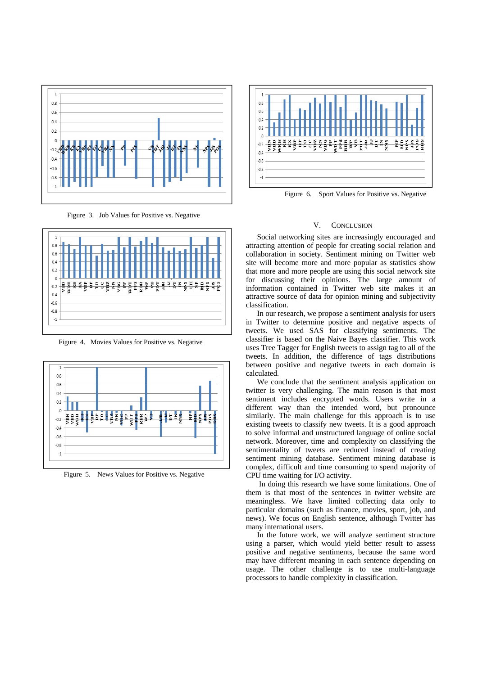

Figure 3. Job Values for Positive vs. Negative



Figure 4. Movies Values for Positive vs. Negative



Figure 5. News Values for Positive vs. Negative



Figure 6. Sport Values for Positive vs. Negative

## V. CONCLUSION

Social networking sites are increasingly encouraged and attracting attention of people for creating social relation and collaboration in society. Sentiment mining on Twitter web site will become more and more popular as statistics show that more and more people are using this social network site for discussing their opinions. The large amount of information contained in Twitter web site makes it an attractive source of data for opinion mining and subjectivity classification.

In our research, we propose a sentiment analysis for users in Twitter to determine positive and negative aspects of tweets. We used SAS for classifying sentiments. The classifier is based on the Naive Bayes classifier. This work uses Tree Tagger for English tweets to assign tag to all of the tweets. In addition, the difference of tags distributions between positive and negative tweets in each domain is calculated.

We conclude that the sentiment analysis application on twitter is very challenging. The main reason is that most sentiment includes encrypted words. Users write in a different way than the intended word, but pronounce similarly. The main challenge for this approach is to use existing tweets to classify new tweets. It is a good approach to solve informal and unstructured language of online social network. Moreover, time and complexity on classifying the sentimentality of tweets are reduced instead of creating sentiment mining database. Sentiment mining database is complex, difficult and time consuming to spend majority of CPU time waiting for I/O activity.

 In doing this research we have some limitations. One of them is that most of the sentences in twitter website are meaningless. We have limited collecting data only to particular domains (such as finance, movies, sport, job, and news). We focus on English sentence, although Twitter has many international users.

In the future work, we will analyze sentiment structure using a parser, which would yield better result to assess positive and negative sentiments, because the same word may have different meaning in each sentence depending on usage. The other challenge is to use multi-language processors to handle complexity in classification.